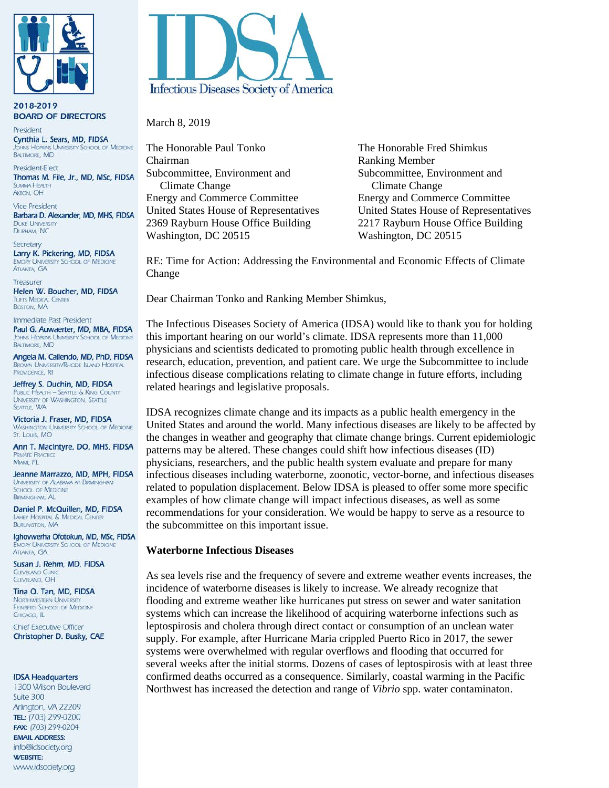

2018-2019 **BOARD OF DIRECTORS** 

President Cynthia L. Sears, MD, FIDSA **THINS HOPKINS UNIVERSITY SCHOOL OF MEDICINE BALTIMORE, MD** 

President-Elect Thomas M. File, Jr., MD, MSc, FIDSA SLIMMAA HEALTH **AKRON, OH** 

**Vice President** Barbara D. Alexander, MD, MHS, FIDSA **DUKE UNIVERSITY** DURHAM, NC

Secretary Larry K. Pickering, MD, FIDSA **EMORY UNIVERSITY SCHOOL OF MEDICINE ATLANTA GA** 

Treasurer Helen W. Boucher, MD, FIDSA **TUFTS MEDICAL CENTER BOSTON, MA** 

Immediate Past President Paul G. Auwaerter, MD, MBA, FIDSA **IOHNS HOPKINS UNIVERSITY SCHOOL OF MEDICINE BALTIMORE, MD** 

Angela M. Caliendo, MD, PhD, FIDSA **BROWN UNIVERSITY/RHODE ISLAND HOSPITAL** PROVIDENCE. RI

Jeffrey S. Duchin, MD, FIDSA **PUBLIC HEALTH - SEATTLE & KING COUNTY** UNIVERSITY OF WASHINGTON, SEATTLE SEATTLE, WA

Victoria J. Fraser, MD, FIDSA **WASHINGTON UNIVERSITY SCHOOL OF MEDICINE** St. Louis, MO

Ann T. MacIntyre, DO, MHS, FIDSA **PRIVATE PRACTICE** MIAMI, FL

Jeanne Marrazzo, MD, MPH, FIDSA UNIVERSITY OF ALABAMA AT BIRMINGHAM **SCHOOL OF MEDICINE BIRMINGHAM, AL** 

Daniel P. McQuillen, MD, FIDSA LAHEY HOSPITAL & MEDICAL CENTER **BURLINGTON, MA** 

Ighovwerha Ofotokun, MD, MSc, FIDSA EMORY UNIVERSITY SCHOOL OF MEDICINE **ATLANTA GA** 

Susan J. Rehm, MD, FIDSA **CLEVELAND CLINI** CIEVELAND OH

Tina Q. Tan, MD, FIDSA **NORTHWESTERN UNIVERSITY** FEINBERG SCHOOL OF MEDICINE CHICAGO, IL

**Chief Executive Officer** Christopher D. Busky, CAE

#### **IDSA Headquarters**

1300 Wilson Boulevard Suite 300 Arlington, VA 22209 TEL: (703) 299-0200 FAX: (703) 299-0204 **EMAIL ADDRESS:** info@idsociety.org **WEBSITE:** www.idsociety.org



March 8, 2019

The Honorable Paul Tonko<br>
The Honorable Fred Shimkus Chairman Ranking Member Subcommittee, Environment and Subcommittee, Environment and Climate Change Climate Change Energy and Commerce Committee Energy and Commerce Committee 2369 Rayburn House Office Building 2217 Rayburn House Office Building Washington, DC 20515 Washington, DC 20515

United States House of Representatives United States House of Representatives

RE: Time for Action: Addressing the Environmental and Economic Effects of Climate Change

Dear Chairman Tonko and Ranking Member Shimkus,

The Infectious Diseases Society of America (IDSA) would like to thank you for holding this important hearing on our world's climate. IDSA represents more than 11,000 physicians and scientists dedicated to promoting public health through excellence in research, education, prevention, and patient care. We urge the Subcommittee to include infectious disease complications relating to climate change in future efforts, including related hearings and legislative proposals.

IDSA recognizes climate change and its impacts as a public health emergency in the United States and around the world. Many infectious diseases are likely to be affected by the changes in weather and geography that climate change brings. Current epidemiologic patterns may be altered. These changes could shift how infectious diseases (ID) physicians, researchers, and the public health system evaluate and prepare for many infectious diseases including waterborne, zoonotic, vector-borne, and infectious diseases related to population displacement. Below IDSA is pleased to offer some more specific examples of how climate change will impact infectious diseases, as well as some recommendations for your consideration. We would be happy to serve as a resource to the subcommittee on this important issue.

#### **Waterborne Infectious Diseases**

As sea levels rise and the frequency of severe and extreme weather events increases, the incidence of waterborne diseases is likely to increase. We already recognize that flooding and extreme weather like hurricanes put stress on sewer and water sanitation systems which can increase the likelihood of acquiring waterborne infections such as leptospirosis and cholera through direct contact or consumption of an unclean water supply. For example, after Hurricane Maria crippled Puerto Rico in 2017, the sewer systems were overwhelmed with regular overflows and flooding that occurred for several weeks after the initial storms. Dozens of cases of leptospirosis with at least three confirmed deaths occurred as a consequence. Similarly, coastal warming in the Pacific Northwest has increased the detection and range of *Vibrio* spp. water contaminaton.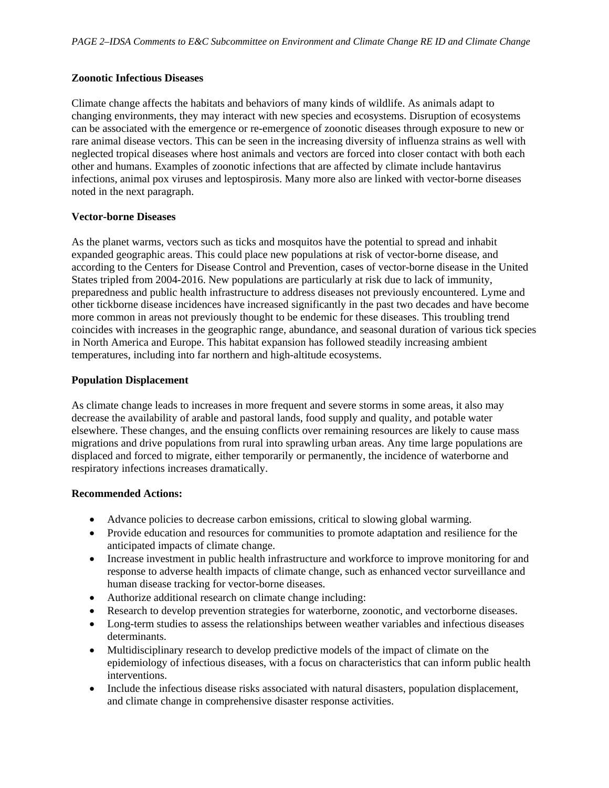#### **Zoonotic Infectious Diseases**

Climate change affects the habitats and behaviors of many kinds of wildlife. As animals adapt to changing environments, they may interact with new species and ecosystems. Disruption of ecosystems can be associated with the emergence or re-emergence of zoonotic diseases through exposure to new or rare animal disease vectors. This can be seen in the increasing diversity of influenza strains as well with neglected tropical diseases where host animals and vectors are forced into closer contact with both each other and humans. Examples of zoonotic infections that are affected by climate include hantavirus infections, animal pox viruses and leptospirosis. Many more also are linked with vector-borne diseases noted in the next paragraph.

## **Vector-borne Diseases**

As the planet warms, vectors such as ticks and mosquitos have the potential to spread and inhabit expanded geographic areas. This could place new populations at risk of vector-borne disease, and according to the Centers for Disease Control and Prevention, cases of vector-borne disease in the United States tripled from 2004-2016. New populations are particularly at risk due to lack of immunity, preparedness and public health infrastructure to address diseases not previously encountered. Lyme and other tickborne disease incidences have increased significantly in the past two decades and have become more common in areas not previously thought to be endemic for these diseases. This troubling trend coincides with increases in the geographic range, abundance, and seasonal duration of various tick species in North America and Europe. This habitat expansion has followed steadily increasing ambient temperatures, including into far northern and high-altitude ecosystems.

## **Population Displacement**

As climate change leads to increases in more frequent and severe storms in some areas, it also may decrease the availability of arable and pastoral lands, food supply and quality, and potable water elsewhere. These changes, and the ensuing conflicts over remaining resources are likely to cause mass migrations and drive populations from rural into sprawling urban areas. Any time large populations are displaced and forced to migrate, either temporarily or permanently, the incidence of waterborne and respiratory infections increases dramatically.

# **Recommended Actions:**

- Advance policies to decrease carbon emissions, critical to slowing global warming.
- Provide education and resources for communities to promote adaptation and resilience for the anticipated impacts of climate change.
- Increase investment in public health infrastructure and workforce to improve monitoring for and response to adverse health impacts of climate change, such as enhanced vector surveillance and human disease tracking for vector-borne diseases.
- Authorize additional research on climate change including:
- Research to develop prevention strategies for waterborne, zoonotic, and vectorborne diseases.
- Long-term studies to assess the relationships between weather variables and infectious diseases determinants.
- Multidisciplinary research to develop predictive models of the impact of climate on the epidemiology of infectious diseases, with a focus on characteristics that can inform public health interventions.
- Include the infectious disease risks associated with natural disasters, population displacement, and climate change in comprehensive disaster response activities.